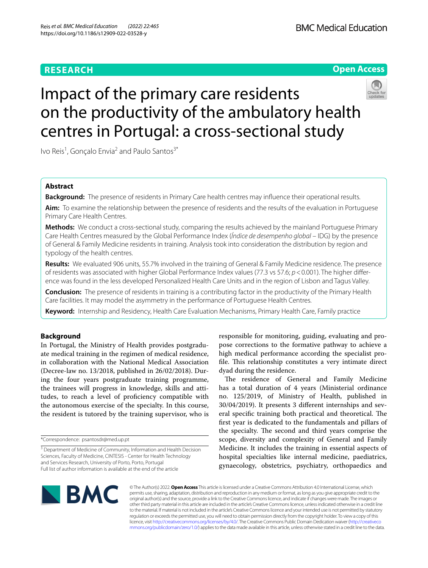# **RESEARCH**

# **BMC Medical Education**



# Impact of the primary care residents on the productivity of the ambulatory health centres in Portugal: a cross-sectional study



Ivo Reis<sup>1</sup>, Gonçalo Envia<sup>2</sup> and Paulo Santos<sup>3\*</sup>

# **Abstract**

**Background:** The presence of residents in Primary Care health centres may infuence their operational results.

**Aim:** To examine the relationship between the presence of residents and the results of the evaluation in Portuguese Primary Care Health Centres.

**Methods:** We conduct a cross-sectional study, comparing the results achieved by the mainland Portuguese Primary Care Health Centres measured by the Global Performance Index (*Índice de desempenho global* – IDG) by the presence of General & Family Medicine residents in training. Analysis took into consideration the distribution by region and typology of the health centres.

**Results:** We evaluated 906 units, 55.7% involved in the training of General & Family Medicine residence. The presence of residents was associated with higher Global Performance Index values (77.3 vs 57.6; *p*<0.001). The higher diference was found in the less developed Personalized Health Care Units and in the region of Lisbon and Tagus Valley.

**Conclusion:** The presence of residents in training is a contributing factor in the productivity of the Primary Health Care facilities. It may model the asymmetry in the performance of Portuguese Health Centres.

**Keyword:** Internship and Residency, Health Care Evaluation Mechanisms, Primary Health Care, Family practice

## **Background**

In Portugal, the Ministry of Health provides postgraduate medical training in the regimen of medical residence, in collaboration with the National Medical Association (Decree-law no. 13/2018, published in 26/02/2018). During the four years postgraduate training programme, the trainees will progress in knowledge, skills and attitudes, to reach a level of profciency compatible with the autonomous exercise of the specialty. In this course, the resident is tutored by the training supervisor, who is

responsible for monitoring, guiding, evaluating and propose corrections to the formative pathway to achieve a high medical performance according the specialist profile. This relationship constitutes a very intimate direct dyad during the residence.

The residence of General and Family Medicine has a total duration of 4 years (Ministerial ordinance no. 125/2019, of Ministry of Health, published in 30/04/2019). It presents 3 diferent internships and several specific training both practical and theoretical. The frst year is dedicated to the fundamentals and pillars of the specialty. The second and third years comprise the scope, diversity and complexity of General and Family Medicine. It includes the training in essential aspects of hospital specialties like internal medicine, paediatrics, gynaecology, obstetrics, psychiatry, orthopaedics and



© The Author(s) 2022. **Open Access** This article is licensed under a Creative Commons Attribution 4.0 International License, which permits use, sharing, adaptation, distribution and reproduction in any medium or format, as long as you give appropriate credit to the original author(s) and the source, provide a link to the Creative Commons licence, and indicate if changes were made. The images or other third party material in this article are included in the article's Creative Commons licence, unless indicated otherwise in a credit line to the material. If material is not included in the article's Creative Commons licence and your intended use is not permitted by statutory regulation or exceeds the permitted use, you will need to obtain permission directly from the copyright holder. To view a copy of this licence, visit [http://creativecommons.org/licenses/by/4.0/.](http://creativecommons.org/licenses/by/4.0/) The Creative Commons Public Domain Dedication waiver ([http://creativeco](http://creativecommons.org/publicdomain/zero/1.0/) [mmons.org/publicdomain/zero/1.0/](http://creativecommons.org/publicdomain/zero/1.0/)) applies to the data made available in this article, unless otherwise stated in a credit line to the data.

<sup>\*</sup>Correspondence: psantosdr@med.up.pt

<sup>&</sup>lt;sup>3</sup> Department of Medicine of Community, Information and Health Decision Sciences, Faculty of Medicine, CINTESIS - Center for Health Technology and Services Research, University of Porto, Porto, Portugal Full list of author information is available at the end of the article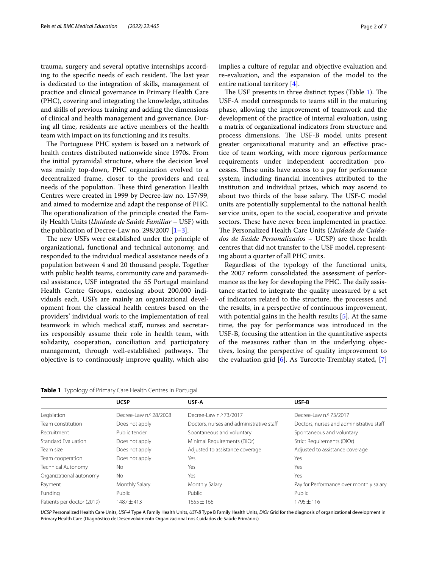trauma, surgery and several optative internships according to the specific needs of each resident. The last year is dedicated to the integration of skills, management of practice and clinical governance in Primary Health Care (PHC), covering and integrating the knowledge, attitudes and skills of previous training and adding the dimensions of clinical and health management and governance. During all time, residents are active members of the health team with impact on its functioning and its results.

The Portuguese PHC system is based on a network of health centres distributed nationwide since 1970s. From the initial pyramidal structure, where the decision level was mainly top-down, PHC organization evolved to a decentralized frame, closer to the providers and real needs of the population. These third generation Health Centres were created in 1999 by Decree-law no. 157/99, and aimed to modernize and adapt the response of PHC. The operationalization of the principle created the Family Health Units (*Unidade de Saúde Familiar* – USF) with the publication of Decree-Law no. 298/2007  $[1-3]$  $[1-3]$  $[1-3]$ .

The new USFs were established under the principle of organizational, functional and technical autonomy, and responded to the individual medical assistance needs of a population between 4 and 20 thousand people. Together with public health teams, community care and paramedical assistance, USF integrated the 55 Portugal mainland Health Centre Groups, enclosing about 200,000 individuals each. USFs are mainly an organizational development from the classical health centres based on the providers' individual work to the implementation of real teamwork in which medical staf, nurses and secretaries responsibly assume their role in health team, with solidarity, cooperation, conciliation and participatory management, through well-established pathways. The objective is to continuously improve quality, which also

<span id="page-1-0"></span>**Table 1** Typology of Primary Care Health Centres in Portugal

implies a culture of regular and objective evaluation and re-evaluation, and the expansion of the model to the entire national territory [[4\]](#page-5-2).

The USF presents in three distinct types (Table  $1$ ). The USF-A model corresponds to teams still in the maturing phase, allowing the improvement of teamwork and the development of the practice of internal evaluation, using a matrix of organizational indicators from structure and process dimensions. The USF-B model units present greater organizational maturity and an efective practice of team working, with more rigorous performance requirements under independent accreditation processes. These units have access to a pay for performance system, including fnancial incentives attributed to the institution and individual prizes, which may ascend to about two thirds of the base salary. The USF-C model units are potentially supplemental to the national health service units, open to the social, cooperative and private sectors. These have never been implemented in practice. The Personalized Health Care Units (*Unidade de Cuidados de Saúde Personalizados* – UCSP) are those health centres that did not transfer to the USF model, representing about a quarter of all PHC units.

Regardless of the typology of the functional units, the 2007 reform consolidated the assessment of performance as the key for developing the PHC. The daily assistance started to integrate the quality measured by a set of indicators related to the structure, the processes and the results, in a perspective of continuous improvement, with potential gains in the health results [\[5](#page-5-3)]. At the same time, the pay for performance was introduced in the USF-B, focusing the attention in the quantitative aspects of the measures rather than in the underlying objectives, losing the perspective of quality improvement to the evaluation grid  $[6]$  $[6]$ . As Turcotte-Tremblay stated,  $[7]$  $[7]$ 

|                            | <b>UCSP</b>            | USF-A                                    | USF-B                                    |
|----------------------------|------------------------|------------------------------------------|------------------------------------------|
| Legislation                | Decree-Law n.º 28/2008 | Decree-Law n.º 73/2017                   | Decree-Law n.º 73/2017                   |
| Team constitution          | Does not apply         | Doctors, nurses and administrative staff | Doctors, nurses and administrative staff |
| Recruitment                | Public tender          | Spontaneous and voluntary                | Spontaneous and voluntary                |
| Standard Evaluation        | Does not apply         | Minimal Requirements (DiOr)              | Strict Requirements (DiOr)               |
| Team size                  | Does not apply         | Adjusted to assistance coverage          | Adjusted to assistance coverage          |
| Team cooperation           | Does not apply         | Yes                                      | Yes                                      |
| Technical Autonomy         | No                     | Yes                                      | Yes                                      |
| Organizational autonomy    | No.                    | Yes                                      | Yes                                      |
| Payment                    | Monthly Salary         | Monthly Salary                           | Pay for Performance over monthly salary  |
| Funding                    | Public                 | Public                                   | Public                                   |
| Patients per doctor (2019) | 1487±413               | $1655 \pm 166$                           | $1795 \pm 116$                           |

*UCSP* Personalized Health Care Units, *USF-A* Type A Family Health Units, *USF-B* Type B Family Health Units, *DiOr* Grid for the diagnosis of organizational development in Primary Health Care (Diagnóstico de Desenvolvimento Organizacional nos Cuidados de Saúde Primários)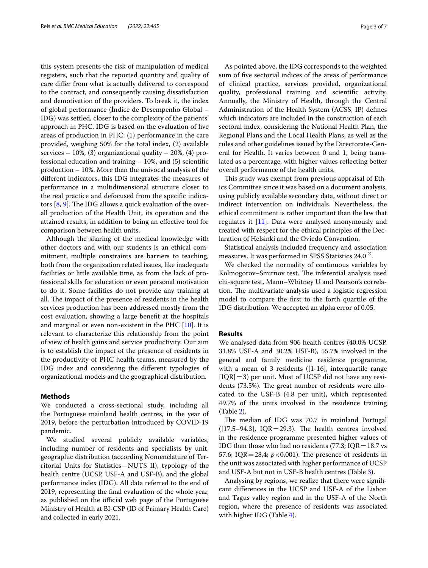this system presents the risk of manipulation of medical registers, such that the reported quantity and quality of care difer from what is actually delivered to correspond to the contract, and consequently causing dissatisfaction and demotivation of the providers. To break it, the index of global performance (Índice de Desempenho Global – IDG) was settled, closer to the complexity of the patients' approach in PHC. IDG is based on the evaluation of fve areas of production in PHC: (1) performance in the care provided, weighing 50% for the total index, (2) available services – 10%, (3) organizational quality – 20%, (4) professional education and training – 10%, and (5) scientifc production – 10%. More than the univocal analysis of the diferent indicators, this IDG integrates the measures of performance in a multidimensional structure closer to the real practice and defocused from the specifc indicators  $[8, 9]$  $[8, 9]$  $[8, 9]$ . The IDG allows a quick evaluation of the overall production of the Health Unit, its operation and the attained results, in addition to being an efective tool for comparison between health units.

Although the sharing of the medical knowledge with other doctors and with our students is an ethical commitment, multiple constraints are barriers to teaching, both from the organization related issues, like inadequate facilities or little available time, as from the lack of professional skills for education or even personal motivation to do it. Some facilities do not provide any training at all. The impact of the presence of residents in the health services production has been addressed mostly from the cost evaluation, showing a large beneft at the hospitals and marginal or even non-existent in the PHC [\[10](#page-5-8)]. It is relevant to characterize this relationship from the point of view of health gains and service productivity. Our aim is to establish the impact of the presence of residents in the productivity of PHC health teams, measured by the IDG index and considering the diferent typologies of organizational models and the geographical distribution.

### **Methods**

We conducted a cross-sectional study, including all the Portuguese mainland health centres, in the year of 2019, before the perturbation introduced by COVID-19 pandemic.

We studied several publicly available variables, including number of residents and specialists by unit, geographic distribution (according Nomenclature of Territorial Units for Statistics—NUTS II), typology of the health centre (UCSP, USF-A and USF-B), and the global performance index (IDG). All data referred to the end of 2019, representing the fnal evaluation of the whole year, as published on the official web page of the Portuguese Ministry of Health at BI-CSP (ID of Primary Health Care) and collected in early 2021.

As pointed above, the IDG corresponds to the weighted sum of fve sectorial indices of the areas of performance of clinical practice, services provided, organizational quality, professional training and scientifc activity. Annually, the Ministry of Health, through the Central Administration of the Health System (ACSS, IP) defnes which indicators are included in the construction of each sectoral index, considering the National Health Plan, the Regional Plans and the Local Health Plans, as well as the rules and other guidelines issued by the Directorate-General for Health. It varies between 0 and 1, being translated as a percentage, with higher values refecting better overall performance of the health units.

This study was exempt from previous appraisal of Ethics Committee since it was based on a document analysis, using publicly available secondary data, without direct or indirect intervention on individuals. Nevertheless, the ethical commitment is rather important than the law that regulates it  $[11]$  $[11]$ . Data were analysed anonymously and treated with respect for the ethical principles of the Declaration of Helsinki and the Oviedo Convention.

Statistical analysis included frequency and association measures. It was performed in SPSS Statistics 24.0 ®.

We checked the normality of continuous variables by Kolmogorov–Smirnov test. The inferential analysis used chi-square test, Mann–Whitney U and Pearson's correlation. The multivariate analysis used a logistic regression model to compare the frst to the forth quartile of the IDG distribution. We accepted an alpha error of 0.05.

#### **Results**

We analysed data from 906 health centres (40.0% UCSP, 31.8% USF-A and 30.2% USF-B), 55.7% involved in the general and family medicine residence programme, with a mean of 3 residents ([1-16], interquartile range  $[IQR]=3$ ) per unit. Most of UCSP did not have any residents (73.5%). The great number of residents were allocated to the USF-B (4.8 per unit), which represented 49.7% of the units involved in the residence training (Table [2\)](#page-3-0).

The median of IDG was 70.7 in mainland Portugal  $([17.5–94.3], IQR = 29.3).$  The health centres involved in the residence programme presented higher values of IDG than those who had no residents (77.3;  $IQR = 18.7$  vs 57.6; IQR = 28,4;  $p < 0.001$ ). The presence of residents in the unit was associated with higher performance of UCSP and USF-A but not in USF-B health centres (Table [3\)](#page-3-1).

Analysing by regions, we realize that there were signifcant diferences in the UCSP and USF-A of the Lisbon and Tagus valley region and in the USF-A of the North region, where the presence of residents was associated with higher IDG (Table [4](#page-3-2)).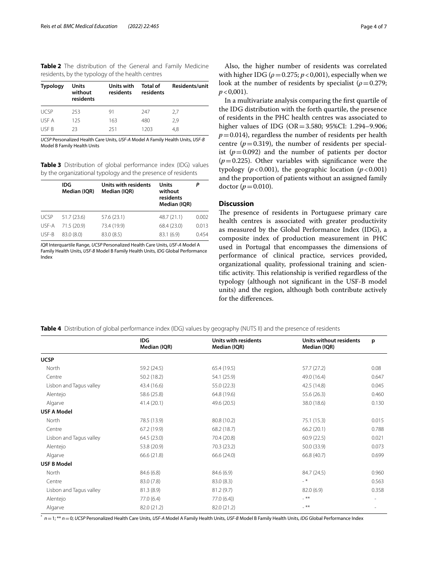<span id="page-3-0"></span>**Table 2** The distribution of the General and Family Medicine residents, by the typology of the health centres

| <b>Typology</b> | Units<br>without<br>residents | Units with<br>residents | <b>Total of</b><br>residents | Residents/unit |
|-----------------|-------------------------------|-------------------------|------------------------------|----------------|
| <b>UCSP</b>     | 253                           | 91                      | 247                          | 2.7            |
| USE A           | 125                           | 163                     | 480                          | 2.9            |
| <b>USE B</b>    | 23                            | 251                     | 1203                         | 4.8            |

*UCSP* Personalized Health Care Units, *USF-A* Model A Family Health Units, *USF-B* Model B Family Health Units

<span id="page-3-1"></span>**Table 3** Distribution of global performance index (IDG) values by the organizational typology and the presence of residents

|             | IDG<br>Median (IQR) | Units with residents<br>Median (IQR) | Units<br>without<br>residents<br>Median (IQR) | Ρ     |
|-------------|---------------------|--------------------------------------|-----------------------------------------------|-------|
| <b>UCSP</b> | 51.7(23.6)          | 57.6 (23.1)                          | 48.7 (21.1)                                   | 0.002 |
| USF-A       | 71.5 (20.9)         | 73.4 (19.9)                          | 68.4 (23.0)                                   | 0.013 |
| USF-B       | 83.0(8.0)           | 83.0 (8.5)                           | 83.1 (6.9)                                    | 0.454 |

*IQR* Interquartile Range, *UCSP* Personalized Health Care Units, *USF-A* Model A Family Health Units, *USF-B* Model B Family Health Units, *IDG* Global Performance Index

Also, the higher number of residents was correlated with higher IDG ( $\rho$  = 0.275;  $p$  < 0,001), especially when we look at the number of residents by specialist ( $\rho$ =0.279;  $p < 0,001$ ).

In a multivariate analysis comparing the frst quartile of the IDG distribution with the forth quartile, the presence of residents in the PHC health centres was associated to higher values of IDG (OR=3.580; 95%CI: 1.294–9.906;  $p=0.014$ ), regardless the number of residents per health centre  $(p=0.319)$ , the number of residents per specialist  $(p=0.092)$  and the number of patients per doctor  $(p=0.225)$ . Other variables with significance were the typology ( $p < 0.001$ ), the geographic location ( $p < 0.001$ ) and the proportion of patients without an assigned family doctor  $(p = 0.010)$ .

# **Discussion**

The presence of residents in Portuguese primary care health centres is associated with greater productivity as measured by the Global Performance Index (IDG), a composite index of production measurement in PHC used in Portugal that encompasses the dimensions of performance of clinical practice, services provided, organizational quality, professional training and scientific activity. This relationship is verified regardless of the typology (although not signifcant in the USF-B model units) and the region, although both contribute actively for the diferences.

<span id="page-3-2"></span>

|  |  | Table 4 Distribution of global performance index (IDG) values by geography (NUTS II) and the presence of residents |  |  |  |  |
|--|--|--------------------------------------------------------------------------------------------------------------------|--|--|--|--|
|--|--|--------------------------------------------------------------------------------------------------------------------|--|--|--|--|

|                         | IDG.<br>Median (IQR) | Units with residents<br>Median (IQR) | Units without residents<br>Median (IQR) | p     |
|-------------------------|----------------------|--------------------------------------|-----------------------------------------|-------|
| <b>UCSP</b>             |                      |                                      |                                         |       |
| North                   | 59.2 (24.5)          | 65.4 (19.5)                          | 57.7 (27.2)                             | 0.08  |
| Centre                  | 50.2(18.2)           | 54.1 (25.9)                          | 49.0 (16.4)                             | 0.647 |
| Lisbon and Tagus valley | 43.4 (16.6)          | 55.0 (22.3)                          | 42.5 (14.8)                             | 0.045 |
| Alentejo                | 58.6 (25.8)          | 64.8 (19.6)                          | 55.6 (26.3)                             | 0.460 |
| Algarve                 | 41.4(20.1)           | 49.6 (20.5)                          | 38.0 (18.6)                             | 0.130 |
| <b>USF A Model</b>      |                      |                                      |                                         |       |
| North                   | 78.5 (13.9)          | 80.8 (10.2)                          | 75.1 (15.3)                             | 0.015 |
| Centre                  | 67.2 (19.9)          | 68.2 (18.7)                          | 66.2(20.1)                              | 0.788 |
| Lisbon and Tagus valley | 64.5(23.0)           | 70.4 (20.8)                          | 60.9(22.5)                              | 0.021 |
| Alentejo                | 53.8 (20.9)          | 70.3 (23.2)                          | 50.0 (33.9)                             | 0.073 |
| Algarve                 | 66.6 (21.8)          | 66.6 (24.0)                          | 66.8 (40.7)                             | 0.699 |
| <b>USF B Model</b>      |                      |                                      |                                         |       |
| North                   | 84.6 (6.8)           | 84.6 (6.9)                           | 84.7 (24.5)                             | 0.960 |
| Centre                  | 83.0 (7.8)           | 83.0(8.3)                            | $-$ *                                   | 0.563 |
| Lisbon and Tagus valley | 81.3 (8.9)           | 81.2(9.7)                            | 82.0(6.9)                               | 0.358 |
| Alentejo                | 77.0 (6.4)           | 77.0(6.4)                            | $-$ **                                  | ٠     |
| Algarve                 | 82.0 (21.2)          | 82.0 (21.2)                          | $***$                                   |       |

\* *n*=1; \*\* *n*=0; *UCSP* Personalized Health Care Units, *USF-A* Model A Family Health Units, *USF-B* Model B Family Health Units, *IDG* Global Performance Index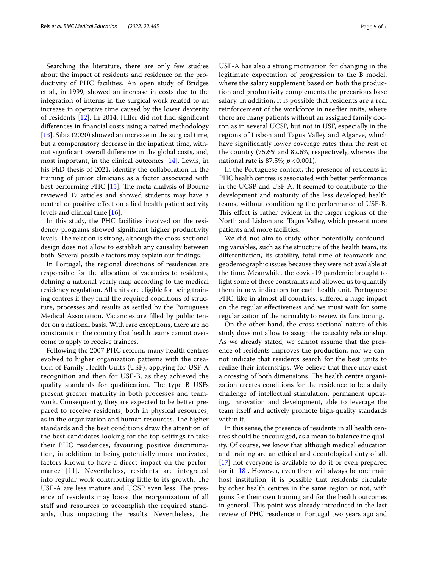Searching the literature, there are only few studies about the impact of residents and residence on the productivity of PHC facilities. An open study of Bridges et al., in 1999, showed an increase in costs due to the integration of interns in the surgical work related to an increase in operative time caused by the lower dexterity of residents [[12\]](#page-5-10). In 2014, Hiller did not fnd signifcant diferences in fnancial costs using a paired methodology [[13\]](#page-6-0). Sibia (2020) showed an increase in the surgical time, but a compensatory decrease in the inpatient time, without signifcant overall diference in the global costs, and, most important, in the clinical outcomes [\[14](#page-6-1)]. Lewis, in his PhD thesis of 2021, identify the collaboration in the training of junior clinicians as a factor associated with best performing PHC  $[15]$  $[15]$ . The meta-analysis of Bourne reviewed 17 articles and showed students may have a neutral or positive efect on allied health patient activity levels and clinical time [[16](#page-6-3)].

In this study, the PHC facilities involved on the residency programs showed signifcant higher productivity levels. The relation is strong, although the cross-sectional design does not allow to establish any causality between both. Several possible factors may explain our fndings.

In Portugal, the regional directions of residences are responsible for the allocation of vacancies to residents, defning a national yearly map according to the medical residency regulation. All units are eligible for being training centres if they fulfl the required conditions of structure, processes and results as settled by the Portuguese Medical Association. Vacancies are flled by public tender on a national basis. With rare exceptions, there are no constraints in the country that health teams cannot overcome to apply to receive trainees.

Following the 2007 PHC reform, many health centres evolved to higher organization patterns with the creation of Family Health Units (USF), applying for USF-A recognition and then for USF-B, as they achieved the quality standards for qualification. The type B USFs present greater maturity in both processes and teamwork. Consequently, they are expected to be better prepared to receive residents, both in physical resources, as in the organization and human resources. The higher standards and the best conditions draw the attention of the best candidates looking for the top settings to take their PHC residences, favouring positive discrimination, in addition to being potentially more motivated, factors known to have a direct impact on the performance [[11\]](#page-5-9). Nevertheless, residents are integrated into regular work contributing little to its growth. The USF-A are less mature and UCSP even less. The presence of residents may boost the reorganization of all staff and resources to accomplish the required standards, thus impacting the results. Nevertheless, the USF-A has also a strong motivation for changing in the legitimate expectation of progression to the B model, where the salary supplement based on both the production and productivity complements the precarious base salary. In addition, it is possible that residents are a real reinforcement of the workforce in needier units, where there are many patients without an assigned family doctor, as in several UCSP, but not in USF, especially in the regions of Lisbon and Tagus Valley and Algarve, which have signifcantly lower coverage rates than the rest of the country (75.6% and 82.6%, respectively, whereas the national rate is 87.5%; *p* < 0.001).

In the Portuguese context, the presence of residents in PHC health centres is associated with better performance in the UCSP and USF-A. It seemed to contribute to the development and maturity of the less developed health teams, without conditioning the performance of USF-B. This effect is rather evident in the larger regions of the North and Lisbon and Tagus Valley, which present more patients and more facilities.

We did not aim to study other potentially confounding variables, such as the structure of the health team, its diferentiation, its stability, total time of teamwork and geodemographic issues because they were not available at the time. Meanwhile, the covid-19 pandemic brought to light some of these constraints and allowed us to quantify them in new indicators for each health unit. Portuguese PHC, like in almost all countries, suffered a huge impact on the regular efectiveness and we must wait for some regularization of the normality to review its functioning.

On the other hand, the cross-sectional nature of this study does not allow to assign the causality relationship. As we already stated, we cannot assume that the presence of residents improves the production, nor we cannot indicate that residents search for the best units to realize their internships. We believe that there may exist a crossing of both dimensions. The health centre organization creates conditions for the residence to be a daily challenge of intellectual stimulation, permanent updating, innovation and development, able to leverage the team itself and actively promote high-quality standards within it.

In this sense, the presence of residents in all health centres should be encouraged, as a mean to balance the quality. Of course, we know that although medical education and training are an ethical and deontological duty of all, [[17\]](#page-6-4) not everyone is available to do it or even prepared for it  $[18]$  $[18]$ . However, even there will always be one main host institution, it is possible that residents circulate by other health centres in the same region or not, with gains for their own training and for the health outcomes in general. This point was already introduced in the last review of PHC residence in Portugal two years ago and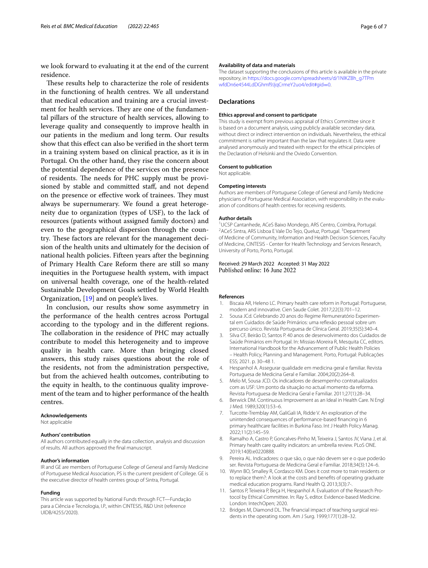we look forward to evaluating it at the end of the current residence.

These results help to characterize the role of residents in the functioning of health centres. We all understand that medical education and training are a crucial investment for health services. They are one of the fundamental pillars of the structure of health services, allowing to leverage quality and consequently to improve health in our patients in the medium and long term. Our results show that this efect can also be verifed in the short term in a training system based on clinical practice, as it is in Portugal. On the other hand, they rise the concern about the potential dependence of the services on the presence of residents. The needs for PHC supply must be provisioned by stable and committed staf, and not depend on the presence or effective work of trainees. They must always be supernumerary. We found a great heterogeneity due to organization (types of USF), to the lack of resources (patients without assigned family doctors) and even to the geographical dispersion through the country. These factors are relevant for the management decision of the health units and ultimately for the decision of national health policies. Fifteen years after the beginning of Primary Health Care Reform there are still so many inequities in the Portuguese health system, with impact on universal health coverage, one of the health-related Sustainable Development Goals settled by World Health Organization, [[19](#page-6-6)] and on people's lives.

In conclusion, our results show some asymmetry in the performance of the health centres across Portugal according to the typology and in the diferent regions. The collaboration in the residence of PHC may actually contribute to model this heterogeneity and to improve quality in health care. More than bringing closed answers, this study raises questions about the role of the residents, not from the administration perspective, but from the achieved health outcomes, contributing to the equity in health, to the continuous quality improvement of the team and to higher performance of the health centres.

#### **Acknowledgements**

Not applicable

#### **Authors' contribution**

All authors contributed equally in the data collection, analysis and discussion of results. All authors approved the fnal manuscript.

#### **Author's information**

IR and GE are members of Portuguese College of General and Family Medicine of Portuguese Medical Association, PS is the current president of College. GE is the executive director of health centres group of Sintra, Portugal.

#### **Funding**

This article was supported by National Funds through FCT—Fundação para a Ciência e Tecnologia, I.P., within CINTESIS, R&D Unit (reference UIDB/4255/2020).

#### **Availability of data and materials**

The dataset supporting the conclusions of this article is available in the private repository, in [https://docs.google.com/spreadsheets/d/1NlKZBh\\_g7TPm](https://docs.google.com/spreadsheets/d/1NlKZBh_g7TPmwfdDn6e4544LdDGhmf9JjqCrmeY2uo4/edit#gid=0) [wfdDn6e4544LdDGhmf9JjqCrmeY2uo4/edit#gid](https://docs.google.com/spreadsheets/d/1NlKZBh_g7TPmwfdDn6e4544LdDGhmf9JjqCrmeY2uo4/edit#gid=0)=0.

#### **Declarations**

#### **Ethics approval and consent to participate**

This study is exempt from previous appraisal of Ethics Committee since it is based on a document analysis, using publicly available secondary data, without direct or indirect intervention on individuals. Nevertheless, the ethical commitment is rather important than the law that regulates it. Data were analysed anonymously and treated with respect for the ethical principles of the Declaration of Helsinki and the Oviedo Convention.

## **Consent to publication**

Not applicable.

#### **Competing interests**

Authors are members of Portuguese College of General and Family Medicine physicians of Portuguese Medical Association, with responsibility in the evaluation of conditions of health centres for receiving residents.

#### **Author details**

<sup>1</sup>UCSP Cantanhede, ACeS Baixo Mondego, ARS Centro, Coimbra, Portugal. <sup>2</sup> ACeS Sintra, ARS Lisboa E Vale Do Tejo, Queluz, Portugal. <sup>3</sup> Department of Medicine of Community, Information and Health Decision Sciences, Faculty of Medicine, CINTESIS - Center for Health Technology and Services Research, University of Porto, Porto, Portugal.

Received: 29 March 2022 Accepted: 31 May 2022 Published online: 16 June 2022

#### **References**

- <span id="page-5-0"></span>1. Biscaia AR, Heleno LC. Primary health care reform in Portugal: Portuguese, modern and innovative. Cien Saude Colet. 2017;22(3):701–12.
- 2. Sousa JCd. Celebrando 20 anos do Regime Remuneratório Experimental em Cuidados de Saúde Primários: uma refexão pessoal sobre um percurso único. Revista Portuguesa de Clínica Geral. 2019;35(5):340–4.
- <span id="page-5-1"></span>3. Silva CF, Beirão D, Santos P. 40 anos de desenvolvimento dos Cuidados de Saúde Primários em Portugal. In: Missias-Moreira R, Mesquita CC, editors. International Handbook for the Advancement of Public Health Policies – Health Policy, Planning and Management. Porto, Portugal: Publicações ESS; 2021. p. 30–48 1.
- <span id="page-5-2"></span>4. Hespanhol A. Assegurar qualidade em medicina geral e familiar. Revista Portuguesa de Medicina Geral e Familiar. 2004;20(2):264–8.
- <span id="page-5-3"></span>5. Melo M, Sousa JCD. Os indicadores de desempenho contratualizados com as USF: Um ponto da situação no actual momento da reforma. Revista Portuguesa de Medicina Geral e Familiar. 2011;27(1):28–34.
- <span id="page-5-4"></span>6. Berwick DM. Continuous Improvement as an Ideal in Health Care. N Engl J Med. 1989;320(1):53–6.
- <span id="page-5-5"></span>7. Turcotte-Tremblay AM, GaliGali IA, Ridde V. An exploration of the unintended consequences of performance-based fnancing in 6 primary healthcare facilities in Burkina Faso. Int J Health Policy Manag. 2022;11(2):145–59.
- <span id="page-5-6"></span>8. Ramalho A, Castro P, Goncalves-Pinho M, Teixeira J, Santos JV, Viana J, et al. Primary health care quality indicators: an umbrella review. PLoS ONE. 2019;14(8):e0220888.
- <span id="page-5-7"></span>9. Pereira AL. Indicadores: o que são, o que não devem ser e o que poderão ser. Revista Portuguesa de Medicina Geral e Familiar. 2018;34(3):124–6.
- <span id="page-5-8"></span>10. Wynn BO, Smalley R, Cordasco KM. Does it cost more to train residents or to replace them?: A look at the costs and benefts of operating graduate medical education programs. Rand Health Q. 2013;3(3):7-.
- <span id="page-5-9"></span>11. Santos P, Teixeira P, Beça H, Hespanhol A. Evaluation of the Research Protocol by Ethical Committee. In: Ray S, editor. Evidence-based Medicine. London: IntechOpen; 2020.
- <span id="page-5-10"></span>12. Bridges M, Diamond DL. The fnancial impact of teaching surgical residents in the operating room. Am J Surg. 1999;177(1):28–32.